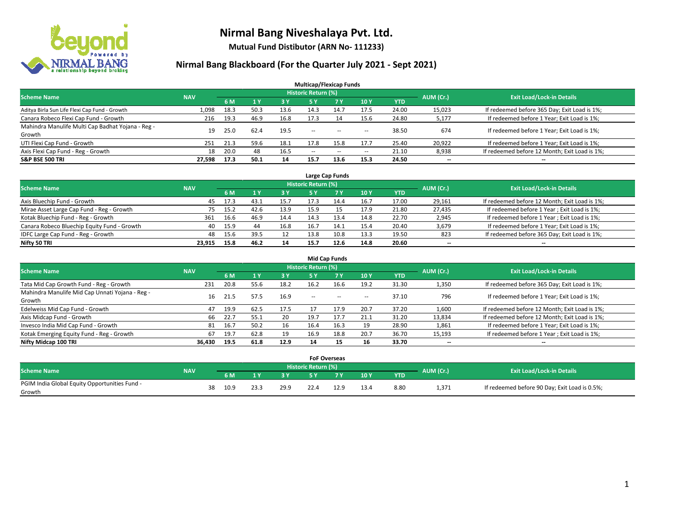

**Mutual Fund Distibutor (ARN No- 111233)**

| <b>Multicap/Flexicap Funds</b>                    |            |      |      |            |                            |                                                |            |            |           |                                               |  |  |  |
|---------------------------------------------------|------------|------|------|------------|----------------------------|------------------------------------------------|------------|------------|-----------|-----------------------------------------------|--|--|--|
| <b>Scheme Name</b>                                | <b>NAV</b> |      |      |            | <b>Historic Return (%)</b> |                                                |            |            | AUM (Cr.) | <b>Exit Load/Lock-in Details</b>              |  |  |  |
|                                                   |            | 6 M  | 71 Y | <b>3 Y</b> | 5 Y                        | <b>7 Y</b>                                     | <b>10Y</b> | <b>YTD</b> |           |                                               |  |  |  |
| Aditya Birla Sun Life Flexi Cap Fund - Growth     | 1,098      | 18.3 | 50.3 | 13.6       | 14.3                       | 14.7                                           | 17.5       | 24.00      | 15,023    | If redeemed before 365 Day; Exit Load is 1%;  |  |  |  |
| Canara Robeco Flexi Cap Fund - Growth             | 216        | 19.3 | 46.9 | 16.8       | 17.3                       | 14                                             | 15.6       | 24.80      | 5,177     | If redeemed before 1 Year; Exit Load is 1%;   |  |  |  |
| Mahindra Manulife Multi Cap Badhat Yojana - Reg - | 19         | 25.0 | 62.4 | 19.5       | $\overline{\phantom{a}}$   | $\hspace{0.1mm}-\hspace{0.1mm}-\hspace{0.1mm}$ |            | 38.50      | 674       | If redeemed before 1 Year; Exit Load is 1%;   |  |  |  |
| Growth                                            |            |      |      |            |                            |                                                | --         |            |           |                                               |  |  |  |
| UTI Flexi Cap Fund - Growth                       | 251        | 21.3 | 59.6 | 18.1       | 17.8                       | 15.8                                           | 17.7       | 25.40      | 20,922    | If redeemed before 1 Year; Exit Load is 1%;   |  |  |  |
| Axis Flexi Cap Fund - Reg - Growth                | 18         | 20.0 | 48   | 16.5       | $\overline{\phantom{a}}$   | $\sim$                                         | --         | 21.10      | 8,938     | If redeemed before 12 Month; Exit Load is 1%; |  |  |  |
| <b>S&amp;P BSE 500 TRI</b>                        | 27.598     | 17.3 | 50.1 | 14         | 15.7                       | 13.6                                           | 15.3       | 24.50      | --        | $\overline{\phantom{a}}$                      |  |  |  |

| Large Cap Funds                             |            |      |      |      |                            |            |           |                                  |        |                                               |  |  |  |
|---------------------------------------------|------------|------|------|------|----------------------------|------------|-----------|----------------------------------|--------|-----------------------------------------------|--|--|--|
| <b>Scheme Name</b>                          | <b>NAV</b> |      |      |      | <b>Historic Return (%)</b> |            | AUM (Cr.) | <b>Exit Load/Lock-in Details</b> |        |                                               |  |  |  |
|                                             |            | 6 M  |      | 3 Y  |                            | <b>7 Y</b> | 10Y       | <b>YTD</b>                       |        |                                               |  |  |  |
| Axis Bluechip Fund - Growth                 | 45         | 17.3 | 43.1 | 15.7 | 17.3                       | 14.4       | 16.7      | 17.00                            | 29,161 | If redeemed before 12 Month; Exit Load is 1%; |  |  |  |
| Mirae Asset Large Cap Fund - Reg - Growth   | 75         | 15.2 | 42.6 | 13.9 | 15.9                       |            | 17.9      | 21.80                            | 27,435 | If redeemed before 1 Year; Exit Load is 1%;   |  |  |  |
| Kotak Bluechip Fund - Reg - Growth          | 361        | 16.6 | 46.9 | 14.4 | 14.3                       | 13.4       | 14.8      | 22.70                            | 2,945  | If redeemed before 1 Year; Exit Load is 1%;   |  |  |  |
| Canara Robeco Bluechip Equity Fund - Growth | 40         | 15.9 | 44   | 16.8 | 16.7                       |            | 15.4      | 20.40                            | 3,679  | If redeemed before 1 Year; Exit Load is 1%;   |  |  |  |
| IDFC Large Cap Fund - Reg - Growth          | 48         | 15.6 | 39.5 |      | 13.8                       | 10.8       | 13.3      | 19.50                            | 823    | If redeemed before 365 Day; Exit Load is 1%;  |  |  |  |
| Nifty 50 TRI                                | 23.915     | 15.8 | 46.2 | 14   | 15.7                       | 12.6       | 14.8      | 20.60                            | $- -$  | $- -$                                         |  |  |  |

| <b>Mid Cap Funds</b>                                      |            |           |      |      |                     |           |                          |            |           |                                               |  |  |  |
|-----------------------------------------------------------|------------|-----------|------|------|---------------------|-----------|--------------------------|------------|-----------|-----------------------------------------------|--|--|--|
| <b>Scheme Name</b>                                        | <b>NAV</b> |           |      |      | Historic Return (%) |           |                          |            | AUM (Cr.) | <b>Exit Load/Lock-in Details</b>              |  |  |  |
|                                                           |            | <b>6M</b> |      | 3 Y  | 5 Y                 | <b>7Y</b> | 10Y                      | <b>YTD</b> |           |                                               |  |  |  |
| Tata Mid Cap Growth Fund - Reg - Growth                   | 231        | 20.8      | 55.6 | 18.2 | 16.2                | 16.6      | 19.2                     | 31.30      | 1,350     | If redeemed before 365 Day; Exit Load is 1%;  |  |  |  |
| Mahindra Manulife Mid Cap Unnati Yojana - Reg -<br>Growth | 16         | 21.5      | 57.5 | 16.9 | $-$                 | $-$       | $\overline{\phantom{a}}$ | 37.10      | 796       | If redeemed before 1 Year; Exit Load is 1%;   |  |  |  |
| Edelweiss Mid Cap Fund - Growth                           | 47         | 19.9      | 62.5 | 17.5 |                     | 17.9      | 20.7                     | 37.20      | 1,600     | If redeemed before 12 Month; Exit Load is 1%; |  |  |  |
| Axis Midcap Fund - Growth                                 | 66         | 22.7      | 55.1 | 20   | 19.7                | 17.7      | 21.1                     | 31.20      | 13,834    | If redeemed before 12 Month; Exit Load is 1%; |  |  |  |
| Invesco India Mid Cap Fund - Growth                       | 81         | 16.7      | 50.2 | 16   | 16.4                | 16.3      | 19                       | 28.90      | 1,861     | If redeemed before 1 Year; Exit Load is 1%;   |  |  |  |
| Kotak Emerging Equity Fund - Reg - Growth                 | 67         | 19.7      | 62.8 | 19   | 16.9                | 18.8      | 20.7                     | 36.70      | 15,193    | If redeemed before 1 Year; Exit Load is 1%;   |  |  |  |
| Nifty Midcap 100 TRI                                      | 36.430     | 19.5      | 61.8 | 12.9 | 14                  | 15        | 16                       | 33.70      | $- -$     | $\overline{\phantom{a}}$                      |  |  |  |

|                                               |            |    |      |      |      | <b>FoF Overseas</b>        |     |      |            |           |                                               |
|-----------------------------------------------|------------|----|------|------|------|----------------------------|-----|------|------------|-----------|-----------------------------------------------|
| <b>Scheme Name</b>                            | <b>NAV</b> |    |      |      |      | <b>Historic Return (%)</b> |     |      |            | AUM (Cr.) | <b>Exit Load/Lock-in Details</b>              |
|                                               |            |    | 6 M  |      | 2V   |                            | 7 V | 10Y  | <b>YTD</b> |           |                                               |
| PGIM India Global Equity Opportunities Fund - |            | 38 | 10.9 | 23.3 | 29.9 |                            |     | 13.4 | 8.80       | 1,371     | If redeemed before 90 Day; Exit Load is 0.5%; |
| Growth                                        |            |    |      |      |      |                            |     |      |            |           |                                               |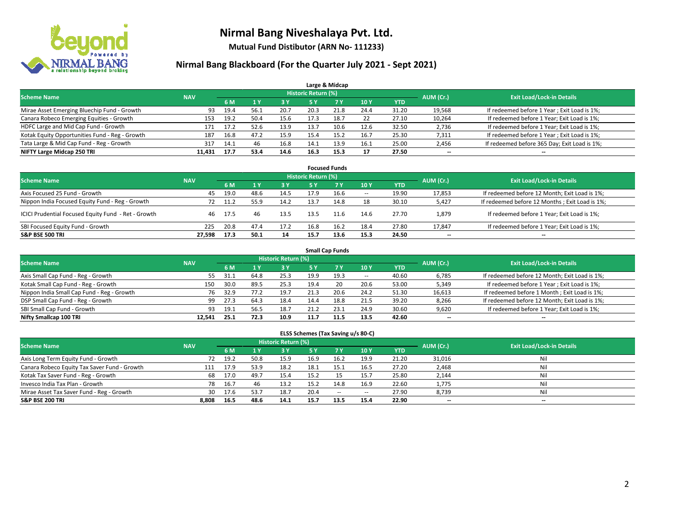

**Mutual Fund Distibutor (ARN No- 111233)**

### **Nirmal Bang Blackboard (For the Quarter July 2021 - Sept 2021)**

|                                                |            |      |      |           |                            | Large & Midcap |      |            |           |                                              |
|------------------------------------------------|------------|------|------|-----------|----------------------------|----------------|------|------------|-----------|----------------------------------------------|
| <b>Scheme Name</b>                             | <b>NAV</b> |      |      |           | <b>Historic Return (%)</b> |                |      |            | AUM (Cr.) | <b>Exit Load/Lock-in Details</b>             |
|                                                |            | 6 M  |      | <b>3Y</b> | 5 Y                        | <b>7Y</b>      | 10Y  | <b>YTD</b> |           |                                              |
| Mirae Asset Emerging Bluechip Fund - Growth    | 93         | 19.4 | 56.1 | 20.7      | 20.3                       | 21.8           | 24.4 | 31.20      | 19,568    | If redeemed before 1 Year; Exit Load is 1%;  |
| Canara Robeco Emerging Equities - Growth       | 153        | 19.2 | 50.4 | 15.6      | 17.3                       | 18.7           | 22   | 27.10      | 10,264    | If redeemed before 1 Year; Exit Load is 1%;  |
| HDFC Large and Mid Cap Fund - Growth           | 171        | 17.2 | 52.6 | 13.9      | 13.7                       | 10.6           | 12.6 | 32.50      | 2,736     | If redeemed before 1 Year; Exit Load is 1%;  |
| Kotak Equity Opportunities Fund - Reg - Growth | 187        | 16.8 | 47.2 | 15.9      | 15.4                       | 15.2           | 16.7 | 25.30      | 7,311     | If redeemed before 1 Year; Exit Load is 1%;  |
| Tata Large & Mid Cap Fund - Reg - Growth       | 317        | 14.1 | 46   | 16.8      | 14.1                       | 13.9           | 16.1 | 25.00      | 2,456     | If redeemed before 365 Day; Exit Load is 1%; |
| NIFTY Large Midcap 250 TRI                     | 11.431     | 17.7 | 53.4 | 14.6      | 16.3                       | 15.3           | 17   | 27.50      | $- -$     | $\overline{\phantom{a}}$                     |

| <b>Focused Funds</b>                                |            |      |      |            |                     |      |                          |       |                          |                                                |  |  |  |
|-----------------------------------------------------|------------|------|------|------------|---------------------|------|--------------------------|-------|--------------------------|------------------------------------------------|--|--|--|
| <b>Scheme Name</b>                                  | <b>NAV</b> |      |      |            | Historic Return (%) |      |                          |       | AUM (Cr.)                | <b>Exit Load/Lock-in Details</b>               |  |  |  |
|                                                     |            | 6 M  |      | <b>3 Y</b> | 5 Y                 | 7 Y  | 10Y                      | YTD   |                          |                                                |  |  |  |
| Axis Focused 25 Fund - Growth                       | 45         | 19.0 | 48.6 | 14.5       | 17.9                | 16.6 | $\overline{\phantom{a}}$ | 19.90 | 17,853                   | If redeemed before 12 Month; Exit Load is 1%;  |  |  |  |
| Nippon India Focused Equity Fund - Reg - Growth     | 72         | 11.2 | 55.9 | 14.2       | 13.7                | 14.8 | 18                       | 30.10 | 5,427                    | If redeemed before 12 Months; Exit Load is 1%; |  |  |  |
| ICICI Prudential Focused Equity Fund - Ret - Growth | 46         | 17.5 | 46   | 13.5       | 13.5                | 11.6 | 14.6                     | 27.70 | 1,879                    | If redeemed before 1 Year; Exit Load is 1%;    |  |  |  |
| SBI Focused Equity Fund - Growth                    | 225        | 20.8 | 47.4 | 17.2       | 16.8                | 16.2 | 18.4                     | 27.80 | 17,847                   | If redeemed before 1 Year; Exit Load is 1%;    |  |  |  |
| <b>S&amp;P BSE 500 TRI</b>                          | 27.598     | 17.3 | 50.1 | 14         | 15.7                | 13.6 | 15.3                     | 24.50 | $\overline{\phantom{a}}$ | $\overline{\phantom{m}}$                       |  |  |  |

|                                            | <b>Small Cap Funds</b> |       |      |                     |           |                                  |            |            |                          |                                               |  |  |  |  |  |
|--------------------------------------------|------------------------|-------|------|---------------------|-----------|----------------------------------|------------|------------|--------------------------|-----------------------------------------------|--|--|--|--|--|
| <b>Scheme Name</b>                         | <b>NAV</b>             |       |      | Historic Return (%) | AUM (Cr.) | <b>Exit Load/Lock-in Details</b> |            |            |                          |                                               |  |  |  |  |  |
|                                            |                        | 6 M   |      | 3 Y                 | 5 Y       | <b>7Y</b>                        | <b>10Y</b> | <b>YTD</b> |                          |                                               |  |  |  |  |  |
| Axis Small Cap Fund - Reg - Growth         | 55                     | -31.1 | 64.8 | 25.3                | 19.9      | 19.3                             | $- -$      | 40.60      | 6,785                    | If redeemed before 12 Month; Exit Load is 1%; |  |  |  |  |  |
| Kotak Small Cap Fund - Reg - Growth        | 150                    | 30.0  | 89.5 | 25.3                | 19.4      | 20                               | 20.6       | 53.00      | 5,349                    | If redeemed before 1 Year; Exit Load is 1%;   |  |  |  |  |  |
| Nippon India Small Cap Fund - Reg - Growth | 76                     | 32.9  | 77.2 | 19.7                | 21.3      | 20.6                             | 24.2       | 51.30      | 16,613                   | If redeemed before 1 Month; Exit Load is 1%;  |  |  |  |  |  |
| DSP Small Cap Fund - Reg - Growth          | 99                     | 27.3  | 64.3 | 18.4                | 14.4      | 18.8                             | 21.5       | 39.20      | 8,266                    | If redeemed before 12 Month; Exit Load is 1%; |  |  |  |  |  |
| SBI Small Cap Fund - Growth                | 93                     | 19.1  | 56.5 | 18.7                | 21.2      | 23.1                             | 24.9       | 30.60      | 9,620                    | If redeemed before 1 Year; Exit Load is 1%;   |  |  |  |  |  |
| Nifty Smallcap 100 TRI                     | 12.541                 | 25.1  | 72.3 | 10.9                | 11.7      | 11.5                             | 13.5       | 42.60      | $\overline{\phantom{m}}$ | $\overline{\phantom{m}}$                      |  |  |  |  |  |

#### **ELSS Schemes (Tax Saving u/s 80-C)**

| <b>Scheme Name</b>                           | <b>NAV</b> |      |      | Historic Return (%) |           |      |                          |            | AUM (Cr.) | <b>Exit Load/Lock-in Details</b> |
|----------------------------------------------|------------|------|------|---------------------|-----------|------|--------------------------|------------|-----------|----------------------------------|
|                                              |            | 6 M  |      | 73 Y.               | <b>5Y</b> | 7Y   | <b>10Y</b>               | <b>YTD</b> |           |                                  |
| Axis Long Term Equity Fund - Growth          | 72         | 19.2 | 50.8 | 15.9                | 16.9      | 16.2 | 19.9                     | 21.20      | 31,016    | Nil                              |
| Canara Robeco Equity Tax Saver Fund - Growth | 111        | 17.9 | 53.9 | 18.2                | 18.1      | 15.1 | 16.5                     | 27.20      | 2,468     | Nil                              |
| Kotak Tax Saver Fund - Reg - Growth          | 68         | 17.0 | 49.7 | 15.4                | 15.2      |      | 15.7                     | 25.80      | 2,144     | Nil                              |
| Invesco India Tax Plan - Growth              | 78         | 16.7 | 46   | 13.2                | 15.2      | 14.8 | 16.9                     | 22.60      | 1,775     | Nil                              |
| Mirae Asset Tax Saver Fund - Reg - Growth    | 30         | 17.6 | 53.7 | 18.7                | 20.4      | $-$  | $\overline{\phantom{a}}$ | 27.90      | 8,739     | Nil                              |
| <b>S&amp;P BSE 200 TRI</b>                   | 8,808      | 16.5 | 48.6 | 14.1                | 15.7      | 13.5 | 15.4                     | 22.90      | $- -$     | --                               |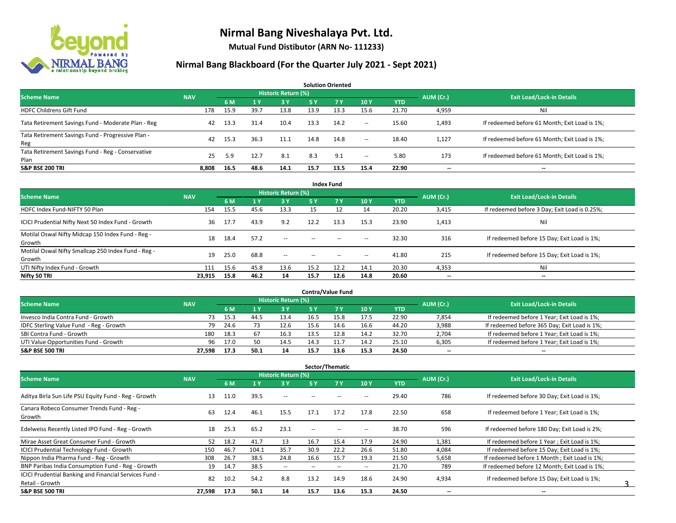

**Mutual Fund Distibutor (ARN No- 111233)**

| <b>Solution Oriented</b>                                  |            |      |      |                            |      |           |        |            |                          |                                               |  |  |  |
|-----------------------------------------------------------|------------|------|------|----------------------------|------|-----------|--------|------------|--------------------------|-----------------------------------------------|--|--|--|
| <b>Scheme Name</b>                                        | <b>NAV</b> |      |      | <b>Historic Return (%)</b> |      |           |        |            |                          | <b>Exit Load/Lock-in Details</b>              |  |  |  |
|                                                           |            | 6 M  |      | 3 Y                        | /5 Y | <b>7Y</b> | 10Y    | <b>YTD</b> | AUM (Cr.)                |                                               |  |  |  |
| <b>HDFC Childrens Gift Fund</b>                           | 178        | 15.9 | 39.7 | 13.8                       | 13.9 | 13.3      | 15.6   | 21.70      | 4,959                    | Nil                                           |  |  |  |
| Tata Retirement Savings Fund - Moderate Plan - Reg        | 42         | 13.3 | 31.4 | 10.4                       | 13.3 | 14.2      | $\sim$ | 15.60      | 1,493                    | If redeemed before 61 Month; Exit Load is 1%; |  |  |  |
| Tata Retirement Savings Fund - Progressive Plan -<br>Reg  | 42         | 15.3 | 36.3 | 11.1                       | 14.8 | 14.8      | $\sim$ | 18.40      | 1,127                    | If redeemed before 61 Month; Exit Load is 1%; |  |  |  |
| Tata Retirement Savings Fund - Reg - Conservative<br>Plan | 25         | 5.9  | 12.7 | 8.1                        | 8.3  | 9.1       | $\sim$ | 5.80       | 173                      | If redeemed before 61 Month; Exit Load is 1%; |  |  |  |
| <b>S&amp;P BSE 200 TRI</b>                                | 8.808      | 16.5 | 48.6 | 14.1                       | 15.7 | 13.5      | 15.4   | 22.90      | $\overline{\phantom{a}}$ | $\overline{\phantom{a}}$                      |  |  |  |

|                                                               |            |      |      |                            |        | <b>Index Fund</b> |                          |            |           |                                               |
|---------------------------------------------------------------|------------|------|------|----------------------------|--------|-------------------|--------------------------|------------|-----------|-----------------------------------------------|
| <b>Scheme Name</b>                                            | <b>NAV</b> |      |      | <b>Historic Return (%)</b> |        |                   |                          |            | AUM (Cr.) | <b>Exit Load/Lock-in Details</b>              |
|                                                               |            | 6 M  | 71 Y | <b>3Y</b>                  | 5 Y    | 7V                | 10Y                      | <b>YTD</b> |           |                                               |
| HDFC Index Fund-NIFTY 50 Plan                                 | 154        | 15.5 | 45.6 | 13.3                       | 15     |                   | 14                       | 20.20      | 3,415     | If redeemed before 3 Day; Exit Load is 0.25%; |
| ICICI Prudential Nifty Next 50 Index Fund - Growth            | 36         | 17.7 | 43.9 | 9.2                        | 12.2   | 13.3              | 15.3                     | 23.90      | 1,413     | Nil                                           |
| Motilal Oswal Nifty Midcap 150 Index Fund - Reg -<br>Growth   | 18         | 18.4 | 57.2 | $- -$                      | $\sim$ | $-$               | $\overline{\phantom{a}}$ | 32.30      | 316       | If redeemed before 15 Day; Exit Load is 1%;   |
| Motilal Oswal Nifty Smallcap 250 Index Fund - Reg -<br>Growth | 19         | 25.0 | 68.8 | $\sim$                     | $\sim$ | $\sim$            | $\sim$                   | 41.80      | 215       | If redeemed before 15 Day; Exit Load is 1%;   |
| UTI Nifty Index Fund - Growth                                 | 111        | 15.6 | 45.8 | 13.6                       | 15.2   | 12.2              | 14.1                     | 20.30      | 4,353     | Nil                                           |
| Nifty 50 TRI                                                  | 23,915     | 15.8 | 46.2 | 14                         | 15.7   | 12.6              | 14.8                     | 20.60      | $- -$     | $\overline{\phantom{a}}$                      |

| <b>Contra/Value Fund</b>                |            |      |      |                     |      |      |      |       |           |                                              |  |  |  |
|-----------------------------------------|------------|------|------|---------------------|------|------|------|-------|-----------|----------------------------------------------|--|--|--|
| <b>Scheme Name</b>                      | <b>NAV</b> |      |      | Historic Return (%) |      |      |      |       | AUM (Cr.) | <b>Exit Load/Lock-in Details</b>             |  |  |  |
|                                         |            | 6 M  |      | 3 Y                 |      |      | 10Y  | YTD   |           |                                              |  |  |  |
| Invesco India Contra Fund - Growth      | 73         | 15.3 | 44.! | 13.4                | 16.5 |      | 17.5 | 22.90 | 7,854     | If redeemed before 1 Year; Exit Load is 1%;  |  |  |  |
| IDFC Sterling Value Fund - Reg - Growth | 79         | 24.6 |      | 12.6                | 15.6 | 14.6 | 16.6 | 44.20 | 3,988     | If redeemed before 365 Day; Exit Load is 1%; |  |  |  |
| SBI Contra Fund - Growth                | 180        | 18.3 | 67   | 16.3                | 13.5 | 12.8 | 14.2 | 32.70 | 2,704     | If redeemed before 1 Year; Exit Load is 1%;  |  |  |  |
| UTI Value Opportunities Fund - Growth   | 96         | 17.0 | 50   | 14.5                | 14.3 |      | 14.2 | 25.10 | 6,305     | If redeemed before 1 Year; Exit Load is 1%;  |  |  |  |
| <b>S&amp;P BSE 500 TRI</b>              | 27.598     | 17.3 | 50.1 | 14                  | 15.7 | 13.6 | 15.3 | 24.50 | $- -$     | $- -$                                        |  |  |  |

| Sector/Thematic                                               |            |      |       |                            |      |      |                          |            |           |                                               |  |  |  |
|---------------------------------------------------------------|------------|------|-------|----------------------------|------|------|--------------------------|------------|-----------|-----------------------------------------------|--|--|--|
| <b>Scheme Name</b>                                            | <b>NAV</b> |      |       | <b>Historic Return (%)</b> |      |      |                          |            | AUM (Cr.) | <b>Exit Load/Lock-in Details</b>              |  |  |  |
|                                                               |            | 6 M  |       | 3Y                         | 5 Y  | 7Y   | 10Y                      | <b>YTD</b> |           |                                               |  |  |  |
| Aditya Birla Sun Life PSU Equity Fund - Reg - Growth          | 13         | 11.0 | 39.5  | $\overline{\phantom{a}}$   |      |      | --                       | 29.40      | 786       | If redeemed before 30 Day; Exit Load is 1%;   |  |  |  |
| Canara Robeco Consumer Trends Fund - Reg -<br>Growth          | 63         | 12.4 | 46.1  | 15.5                       | 17.1 | 17.2 | 17.8                     | 22.50      | 658       | If redeemed before 1 Year; Exit Load is 1%;   |  |  |  |
| Edelweiss Recently Listed IPO Fund - Reg - Growth             | 18         | 25.3 | 65.2  | 23.1                       | $-$  |      | --                       | 38.70      | 596       | If redeemed before 180 Day; Exit Load is 2%;  |  |  |  |
| Mirae Asset Great Consumer Fund - Growth                      | 52         | 18.2 | 41.7  | 13                         | 16.7 | 15.4 | 17.9                     | 24.90      | 1,381     | If redeemed before 1 Year: Exit Load is 1%:   |  |  |  |
| ICICI Prudential Technology Fund - Growth                     | 150        | 46.7 | 104.1 | 35.7                       | 30.9 | 22.2 | 26.6                     | 51.80      | 4,084     | If redeemed before 15 Day; Exit Load is 1%;   |  |  |  |
| Nippon India Pharma Fund - Reg - Growth                       | 308        | 26.7 | 38.5  | 24.8                       | 16.6 | 15.7 | 19.3                     | 21.50      | 5,658     | If redeemed before 1 Month; Exit Load is 1%;  |  |  |  |
| BNP Paribas India Consumption Fund - Reg - Growth             | 19         | 14.7 | 38.5  | $\overline{\phantom{a}}$   | $-$  | --   | $\overline{\phantom{a}}$ | 21.70      | 789       | If redeemed before 12 Month; Exit Load is 1%; |  |  |  |
| <b>ICICI Prudential Banking and Financial Services Fund -</b> | 82         |      | 54.2  |                            | 13.2 |      |                          |            |           |                                               |  |  |  |
| Retail - Growth                                               |            | 10.2 |       | 8.8                        |      | 14.9 | 18.6                     | 24.90      | 4,934     | If redeemed before 15 Day; Exit Load is 1%;   |  |  |  |
| <b>S&amp;P BSE 500 TRI</b>                                    | 27,598     | 17.3 | 50.1  | 14                         | 15.7 | 13.6 | 15.3                     | 24.50      | --        | $\overline{\phantom{a}}$                      |  |  |  |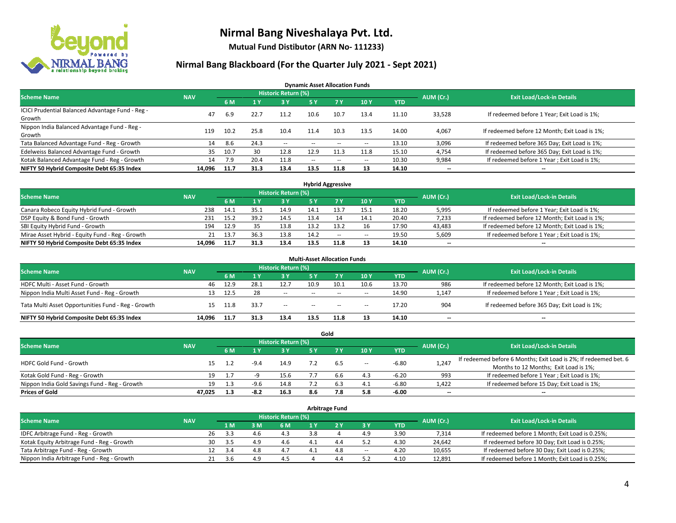

**Mutual Fund Distibutor (ARN No- 111233)**

#### **Nirmal Bang Blackboard (For the Quarter July 2021 - Sept 2021)**

**Dynamic Asset Allocation Funds**

| <b>Scheme Name</b>                                         | <b>NAV</b> |      |      | <b>Historic Return (%)</b> |        |           |       |            | AUM (Cr.)                | <b>Exit Load/Lock-in Details</b>              |
|------------------------------------------------------------|------------|------|------|----------------------------|--------|-----------|-------|------------|--------------------------|-----------------------------------------------|
|                                                            |            | 6 M  |      | <b>3Y</b>                  | 5 Y    | <b>7Y</b> | 10Y   | <b>YTD</b> |                          |                                               |
| ICICI Prudential Balanced Advantage Fund - Reg -<br>Growth | 47         | 6.9  | 22.7 | 11.2                       | 10.6   | 10.7      | 13.4  | 11.10      | 33,528                   | If redeemed before 1 Year; Exit Load is 1%;   |
| Nippon India Balanced Advantage Fund - Reg -<br>Growth     | 119        | 10.2 | 25.8 | 10.4                       | 11.4   | 10.3      | 13.5  | 14.00      | 4,067                    | If redeemed before 12 Month; Exit Load is 1%; |
| Tata Balanced Advantage Fund - Reg - Growth                | 14         | 8.6  | 24.3 | $\sim$                     | $\sim$ | $- -$     | $\!-$ | 13.10      | 3,096                    | If redeemed before 365 Day; Exit Load is 1%;  |
| Edelweiss Balanced Advantage Fund - Growth                 | 35         | 10.7 | 30   | 12.8                       | 12.9   | 11.3      | 11.8  | 15.10      | 4,754                    | If redeemed before 365 Day; Exit Load is 1%;  |
| Kotak Balanced Advantage Fund - Reg - Growth               | 14         | 7.9  | 20.4 | 11.8                       | $-$    | $\sim$    | $\!-$ | 10.30      | 9,984                    | If redeemed before 1 Year; Exit Load is 1%;   |
| NIFTY 50 Hybrid Composite Debt 65:35 Index                 | 14,096     | 11.7 | 31.3 | 13.4                       | 13.5   | 11.8      | 13    | 14.10      | $\overline{\phantom{a}}$ | --                                            |

| <b>Hybrid Aggressive</b>                        |            |            |      |                     |      |        |                          |            |           |                                               |  |  |  |
|-------------------------------------------------|------------|------------|------|---------------------|------|--------|--------------------------|------------|-----------|-----------------------------------------------|--|--|--|
| <b>Scheme Name</b>                              | <b>NAV</b> |            |      | Historic Return (%) |      |        |                          |            | AUM (Cr.) | <b>Exit Load/Lock-in Details</b>              |  |  |  |
|                                                 |            | 6 M        |      | 3 Y                 |      |        | 10Y                      | <b>YTD</b> |           |                                               |  |  |  |
| Canara Robeco Equity Hybrid Fund - Growth       | 238        | 14.1       | 35.1 | 14.9                | 14.1 |        | 15.1                     | 18.20      | 5,995     | If redeemed before 1 Year; Exit Load is 1%;   |  |  |  |
| DSP Equity & Bond Fund - Growth                 | 231        | 15.2       | 39.2 | 14.5                | 13.4 |        | 14.1                     | 20.40      | 7,233     | If redeemed before 12 Month; Exit Load is 1%; |  |  |  |
| SBI Equity Hybrid Fund - Growth                 | 194        | 12.9       |      | 13.8                | 13.2 | 13.2   | 16                       | 17.90      | 43,483    | If redeemed before 12 Month; Exit Load is 1%; |  |  |  |
| Mirae Asset Hybrid - Equity Fund - Reg - Growth |            | 13.7<br>21 | 36.3 | 13.8                | 14.2 | $\sim$ | $\overline{\phantom{a}}$ | 19.50      | 5,609     | If redeemed before 1 Year; Exit Load is 1%;   |  |  |  |
| NIFTY 50 Hybrid Composite Debt 65:35 Index      | 14.096     | 11.7       | 31.3 | 13.4                | 13.5 | 11.8   | 13                       | 14.10      | $- -$     | $\overline{\phantom{a}}$                      |  |  |  |

| <b>Multi-Asset Allocation Funds</b>                |            |      |      |                            |               |            |       |            |                          |                                               |  |  |  |
|----------------------------------------------------|------------|------|------|----------------------------|---------------|------------|-------|------------|--------------------------|-----------------------------------------------|--|--|--|
| <b>Scheme Name</b>                                 | <b>NAV</b> |      |      | <b>Historic Return (%)</b> |               |            |       |            | AUM (Cr.)                | <b>Exit Load/Lock-in Details</b>              |  |  |  |
|                                                    |            | 6 M  |      | <b>3Y</b>                  | 5 Y           | <b>7 V</b> | 10Y   | <b>YTD</b> |                          |                                               |  |  |  |
| HDFC Multi - Asset Fund - Growth                   | 46.        | 12.9 | 28.1 | 12.7                       | 10.9          | 10.1       | 10.6  | 13.70      | 986                      | If redeemed before 12 Month; Exit Load is 1%; |  |  |  |
| Nippon India Multi Asset Fund - Reg - Growth       | 13         | 12.5 | 28   | $\sim$                     | $\sim$ $\sim$ | --         | $\!-$ | 14.90      | 1,147                    | If redeemed before 1 Year; Exit Load is 1%;   |  |  |  |
| Tata Multi Asset Opportunities Fund - Reg - Growth | 15         | 11.8 | 33.7 | $\sim$                     | $-$           | $\sim$     | --    | 17.20      | 904                      | If redeemed before 365 Day; Exit Load is 1%;  |  |  |  |
| NIFTY 50 Hybrid Composite Debt 65:35 Index         | 14.096     | 11.7 | 31.3 | 13.4                       | 13.5          | 11.8       | 13    | 14.10      | $\overline{\phantom{a}}$ | --                                            |  |  |  |

|                                               |            |     |        |                            |     | Gold |        |            |           |                                                                  |
|-----------------------------------------------|------------|-----|--------|----------------------------|-----|------|--------|------------|-----------|------------------------------------------------------------------|
| <b>Scheme Name</b>                            | <b>NAV</b> |     |        | <b>Historic Return (%)</b> |     |      |        |            | AUM (Cr.) | <b>Exit Load/Lock-in Details</b>                                 |
|                                               |            | 6 M |        | <b>3 Y</b>                 | 5 Y |      | 10Y    | <b>YTD</b> |           |                                                                  |
| HDFC Gold Fund - Growth                       |            |     | $-9.4$ | 14.9                       |     |      |        | $-6.80$    |           | If redeemed before 6 Months; Exit Load is 2%; If redeemed bet. 6 |
|                                               |            |     |        |                            |     | 6.5  | $\sim$ |            | 1,247     | Months to 12 Months; Exit Load is 1%;                            |
| Kotak Gold Fund - Reg - Growth                | 19         |     |        | 15.6                       |     | b.b  | 4.3    | $-6.20$    | 993       | If redeemed before 1 Year; Exit Load is 1%;                      |
| Nippon India Gold Savings Fund - Reg - Growth | 19         |     | -9.t   | 14.8                       |     | 6.3  | 4.1    | $-6.80$    | 1,422     | If redeemed before 15 Day; Exit Load is 1%;                      |
| <b>Prices of Gold</b>                         | 47.025     | 1.3 | -8.2   | 16.3                       | 8.6 | 7.8  | 5.8    | -6.00      | $- -$     | $\overline{\phantom{a}}$                                         |

| <b>Arbitrage Fund</b>                      |            |                                  |      |       |     |  |     |        |            |        |                                                 |  |  |
|--------------------------------------------|------------|----------------------------------|------|-------|-----|--|-----|--------|------------|--------|-------------------------------------------------|--|--|
| <b>Scheme Name</b>                         | AUM (Cr.)  | <b>Exit Load/Lock-in Details</b> |      |       |     |  |     |        |            |        |                                                 |  |  |
|                                            | <b>NAV</b> |                                  | 1 M  | $-3M$ | 6 M |  |     | 3 Y    | <b>YTD</b> |        |                                                 |  |  |
| IDFC Arbitrage Fund - Reg - Growth         |            | 26                               | 3.3  | 4.6   | 4.3 |  |     | 4.9    | 3.90       | 7,314  | If redeemed before 1 Month; Exit Load is 0.25%; |  |  |
| Kotak Equity Arbitrage Fund - Reg - Growth |            | 30                               | -3.5 | 4.9   | 4.6 |  | 4.4 |        | 4.30       | 24,642 | If redeemed before 30 Day; Exit Load is 0.25%;  |  |  |
| Tata Arbitrage Fund - Reg - Growth         |            | 12                               | -3.4 | 4.8   |     |  | 4.8 | $\sim$ | 4.20       | 10,655 | If redeemed before 30 Day; Exit Load is 0.25%;  |  |  |
| Nippon India Arbitrage Fund - Reg - Growth |            | 21                               | 3 h  | 49    | 4.5 |  | 4.4 |        | 4.10       | 12,891 | If redeemed before 1 Month; Exit Load is 0.25%; |  |  |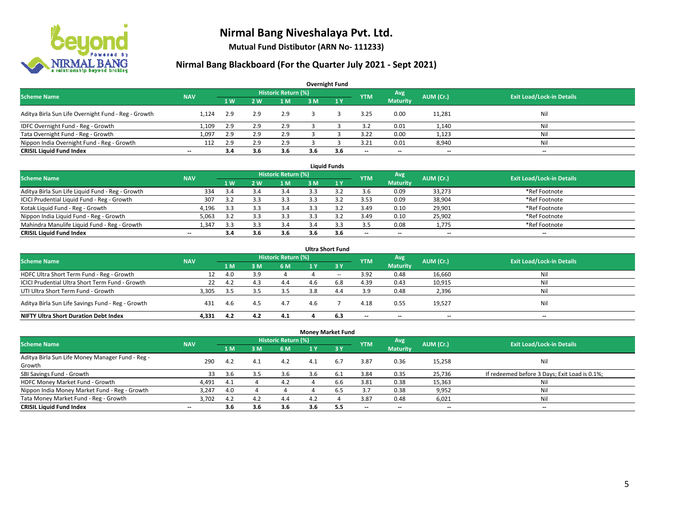

**Mutual Fund Distibutor (ARN No- 111233)**

| <b>Overnight Fund</b>                               |                          |     |     |                            |     |     |            |                 |           |                                  |  |  |  |  |
|-----------------------------------------------------|--------------------------|-----|-----|----------------------------|-----|-----|------------|-----------------|-----------|----------------------------------|--|--|--|--|
| <b>Scheme Name</b>                                  | <b>NAV</b>               |     |     | <b>Historic Return (%)</b> |     |     | <b>YTM</b> | Avg             | AUM (Cr.) | <b>Exit Load/Lock-in Details</b> |  |  |  |  |
|                                                     |                          | 1W  | 2 W | 1 <sub>M</sub>             | 3M  | 1Y  |            | <b>Maturity</b> |           |                                  |  |  |  |  |
| Aditya Birla Sun Life Overnight Fund - Reg - Growth | 1.124                    | 2.9 | 2.9 | 2.9                        |     |     | 3.25       | 0.00            | 11,281    | Nil                              |  |  |  |  |
| IDFC Overnight Fund - Reg - Growth                  | 1,109                    | 2.9 | 2.9 | 2.9                        |     |     | 3.2        | 0.01            | 1,140     | Nil                              |  |  |  |  |
| Tata Overnight Fund - Reg - Growth                  | 1,097                    | 2.9 |     | 2.9                        |     |     | 3.22       | 0.00            | 1,123     | Nil                              |  |  |  |  |
| Nippon India Overnight Fund - Reg - Growth          | 112                      | 2.9 |     | 2.9                        |     |     | 3.21       | 0.01            | 8,940     | Nil                              |  |  |  |  |
| <b>CRISIL Liquid Fund Index</b>                     | $\overline{\phantom{a}}$ | 3.4 | 3.6 | 3.6                        | 3.6 | 3.6 | $- -$      | $- -$           | $- -$     | $\overline{\phantom{a}}$         |  |  |  |  |

| <b>Liquid Funds</b>                              |            |     |     |                     |     |     |                          |                          |           |                                  |  |  |  |
|--------------------------------------------------|------------|-----|-----|---------------------|-----|-----|--------------------------|--------------------------|-----------|----------------------------------|--|--|--|
| <b>Scheme Name</b>                               | <b>NAV</b> |     |     | Historic Return (%) |     |     | <b>YTM</b>               | Avg                      | AUM (Cr.) | <b>Exit Load/Lock-in Details</b> |  |  |  |
|                                                  |            | 1W  | 2 W | 1 M                 | 3 M |     |                          | <b>Maturity</b>          |           |                                  |  |  |  |
| Aditya Birla Sun Life Liquid Fund - Reg - Growth | 334        | 3.4 |     | 3.4                 |     |     | 3.6                      | 0.09                     | 33,273    | *Ref Footnote                    |  |  |  |
| ICICI Prudential Liquid Fund - Reg - Growth      | 307        | 3.2 |     | 3.3                 |     |     | 3.53                     | 0.09                     | 38,904    | *Ref Footnote                    |  |  |  |
| Kotak Liquid Fund - Reg - Growth                 | 4,196      | 3.3 |     | 3.4                 |     |     | 3.49                     | 0.10                     | 29,901    | *Ref Footnote                    |  |  |  |
| Nippon India Liquid Fund - Reg - Growth          | 5,063      | 31  |     | 3.3                 |     |     | 3.49                     | 0.10                     | 25,902    | *Ref Footnote                    |  |  |  |
| Mahindra Manulife Liquid Fund - Reg - Growth     | 1.347      | 3.3 |     | 3.4                 | 3.4 |     | 3.5                      | 0.08                     | 1,775     | *Ref Footnote                    |  |  |  |
| <b>CRISIL Liquid Fund Index</b>                  | $- -$      | 3.4 | 3.6 | 3.6                 | 3.6 | 3.6 | $\overline{\phantom{a}}$ | $\overline{\phantom{a}}$ | $- -$     | $\overline{\phantom{a}}$         |  |  |  |

| <b>Ultra Short Fund</b>                           |            |      |     |                            |     |                  |                          |                          |                          |                                  |  |  |  |
|---------------------------------------------------|------------|------|-----|----------------------------|-----|------------------|--------------------------|--------------------------|--------------------------|----------------------------------|--|--|--|
| <b>Scheme Name</b>                                | <b>NAV</b> |      |     | <b>Historic Return (%)</b> |     |                  | <b>YTM</b>               | Avg                      | AUM (Cr.)                | <b>Exit Load/Lock-in Details</b> |  |  |  |
|                                                   |            | 1 M  | : M | 6 M                        | 1 Y | $\overline{3}$ Y |                          | <b>Maturity</b>          |                          |                                  |  |  |  |
| HDFC Ultra Short Term Fund - Reg - Growth         |            | 4.0  |     |                            |     | $- -$            | 3.92                     | 0.48                     | 16,660                   | Nil                              |  |  |  |
| ICICI Prudential Ultra Short Term Fund - Growth   | 22         | 4.2  | 4.3 | 4.4                        |     | 6.8              | 4.39                     | 0.43                     | 10,915                   | Nil                              |  |  |  |
| UTI Ultra Short Term Fund - Growth                | 3,305      | -3.5 |     | 3.5                        | 3.8 | 4.4              | 3.9                      | 0.48                     | 2,396                    | Nil                              |  |  |  |
| Aditya Birla Sun Life Savings Fund - Reg - Growth | 431        | 4.6  | 4.5 | 4.7                        | 4.6 |                  | 4.18                     | 0.55                     | 19,527                   | Nil                              |  |  |  |
| <b>NIFTY Ultra Short Duration Debt Index</b>      | 4.331      | 4.2  | 4.2 | 4.1                        |     | 6.3              | $\overline{\phantom{a}}$ | $\overline{\phantom{a}}$ | $\overline{\phantom{a}}$ | $-$                              |  |  |  |

| <b>Money Market Fund</b>                         |                          |     |     |                     |     |            |                          |                          |                          |                                               |  |  |  |  |
|--------------------------------------------------|--------------------------|-----|-----|---------------------|-----|------------|--------------------------|--------------------------|--------------------------|-----------------------------------------------|--|--|--|--|
| <b>Scheme Name</b>                               | <b>NAV</b>               |     |     | Historic Return (%) |     |            | <b>YTM</b>               | Avg                      | AUM (Cr.)                | <b>Exit Load/Lock-in Details</b>              |  |  |  |  |
|                                                  |                          | 4 M | 3M  | 6 M                 | 1 Y | <b>73Y</b> |                          | <b>Maturity</b>          |                          |                                               |  |  |  |  |
| Aditya Birla Sun Life Money Manager Fund - Reg - | 290                      | 4.2 | 4.1 | 4.2                 | 4.1 | 6.7        | 3.87                     | 0.36                     | 15,258                   | Nil                                           |  |  |  |  |
| Growth                                           |                          |     |     |                     |     |            |                          |                          |                          |                                               |  |  |  |  |
| SBI Savings Fund - Growth                        | 33                       | 3.6 |     | 3.6                 | 3.b | 6.1        | 3.84                     | 0.35                     | 25,736                   | If redeemed before 3 Days; Exit Load is 0.1%; |  |  |  |  |
| HDFC Money Market Fund - Growth                  | 4,491                    | 4.1 |     | 4.2                 |     | 6.6        | 3.81                     | 0.38                     | 15,363                   | Nil                                           |  |  |  |  |
| Nippon India Money Market Fund - Reg - Growth    | 3.247                    | 4.0 |     |                     |     | 6.5        | 3.7                      | 0.38                     | 9,952                    | Ni                                            |  |  |  |  |
| Tata Money Market Fund - Reg - Growth            | 3.702                    | 4.2 | 4.2 | 4.4                 | 4.2 |            | 3.87                     | 0.48                     | 6,021                    | Ni                                            |  |  |  |  |
| <b>CRISIL Liquid Fund Index</b>                  | $\overline{\phantom{a}}$ | 3.6 | 3.6 | 3.6                 | 3.6 | 5.5        | $\overline{\phantom{a}}$ | $\overline{\phantom{a}}$ | $\overline{\phantom{a}}$ | $- -$                                         |  |  |  |  |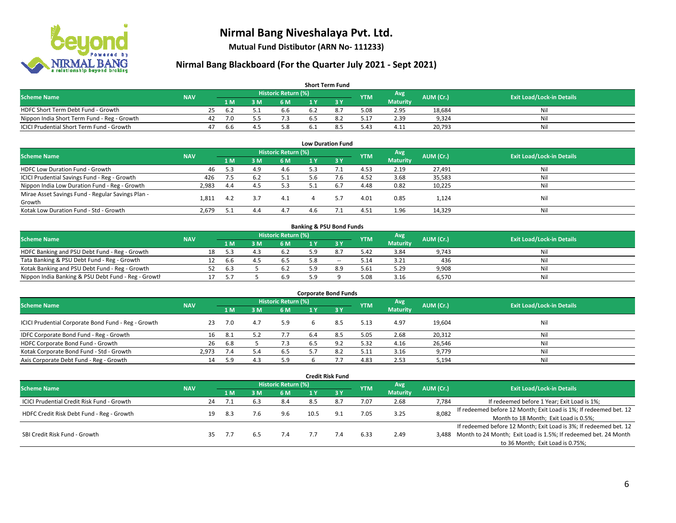

**Mutual Fund Distibutor (ARN No- 111233)**

| <b>Short Term Fund</b>                           |            |    |      |     |                     |     |     |            |                 |           |                                  |  |  |  |
|--------------------------------------------------|------------|----|------|-----|---------------------|-----|-----|------------|-----------------|-----------|----------------------------------|--|--|--|
| <b>Scheme Name</b>                               | <b>NAV</b> |    |      |     | Historic Return (%) |     |     | <b>YTM</b> | Avg \           | AUM (Cr.) | <b>Exit Load/Lock-in Details</b> |  |  |  |
|                                                  |            |    | 1 M  | 3 M | 6 M                 | 1 Y |     |            | <b>Maturity</b> |           |                                  |  |  |  |
| HDFC Short Term Debt Fund - Growth               |            | 25 | -6.2 |     | 6.6                 | 6.2 | 8., | 5.08       | 2.95            | 18.684    | Nil                              |  |  |  |
| Nippon India Short Term Fund - Reg - Growth      |            | 42 | 7.0  |     |                     |     |     | 17.ذ       | 2.39            | 9.324     | Nil                              |  |  |  |
| <b>ICICI Prudential Short Term Fund - Growth</b> |            | 47 | 6.6  |     | 5.8                 |     |     | 5.43       | 4.11            | 20,793    | Nil                              |  |  |  |

| <b>Low Duration Fund</b>                          |            |     |     |                            |     |      |            |                 |           |                                  |  |  |  |
|---------------------------------------------------|------------|-----|-----|----------------------------|-----|------|------------|-----------------|-----------|----------------------------------|--|--|--|
| <b>Scheme Name</b>                                | <b>NAV</b> |     |     | <b>Historic Return (%)</b> |     |      | <b>YTM</b> | Avg             | AUM (Cr.) | <b>Exit Load/Lock-in Details</b> |  |  |  |
|                                                   |            | 1 M | 3 M | 6 M                        |     | -3 Y |            | <b>Maturity</b> |           |                                  |  |  |  |
| HDFC Low Duration Fund - Growth                   | 46         | 5.3 | 4.9 | 4.6                        | 5.3 |      | 4.53       | 2.19            | 27,491    | Nil                              |  |  |  |
| ICICI Prudential Savings Fund - Reg - Growth      | 426        | 7.5 | 6.2 | 5.1                        | 5.6 | 7.6  | 4.52       | 3.68            | 35,583    | Nil                              |  |  |  |
| Nippon India Low Duration Fund - Reg - Growth     | 2,983      | 4.4 | 4.5 | 5.3                        | 5.1 | 6.7  | 4.48       | 0.82            | 10,225    | Nil                              |  |  |  |
| Mirae Asset Savings Fund - Regular Savings Plan - |            |     |     | 4.1                        |     |      |            | 0.85            |           | Nil                              |  |  |  |
| Growth                                            | 1.811      | 4.2 |     |                            |     |      | 4.01       |                 | 1,124     |                                  |  |  |  |
| Kotak Low Duration Fund - Std - Growth            | 2,679      |     | 4.4 | 4.7                        | 4.6 |      | 4.51       | 1.96            | 14,329    | Nil                              |  |  |  |

| <b>Banking &amp; PSU Bond Funds</b>                 |            |  |      |    |                            |     |     |            |                 |           |                                  |  |  |  |
|-----------------------------------------------------|------------|--|------|----|----------------------------|-----|-----|------------|-----------------|-----------|----------------------------------|--|--|--|
| <b>Scheme Name</b>                                  | <b>NAV</b> |  |      |    | <b>Historic Return (%)</b> |     |     | <b>YTM</b> | Avg             | AUM (Cr.) | <b>Exit Load/Lock-in Details</b> |  |  |  |
|                                                     |            |  | 1 M  | ١M | 6 M                        |     |     |            | <b>Maturity</b> |           |                                  |  |  |  |
| HDFC Banking and PSU Debt Fund - Reg - Growth       |            |  | 5.3  |    |                            |     |     | 5.42       | 3.84            | 9,743     | Nil                              |  |  |  |
| Tata Banking & PSU Debt Fund - Reg - Growth         |            |  | -6.6 |    |                            |     | $-$ | 5.14       | 3.21            | 436       | Nil                              |  |  |  |
| Kotak Banking and PSU Debt Fund - Reg - Growth      |            |  | 6.3  |    |                            |     |     | 5.61       | 5.29            | 9,908     | Nil                              |  |  |  |
| Nippon India Banking & PSU Debt Fund - Reg - Growth |            |  |      |    | 6.9                        | ם ב |     | 5.08       | 3.16            | 6.570     | Nil                              |  |  |  |

| <b>Corporate Bond Funds</b>                         |            |     |     |                            |     |      |            |                 |           |                                  |  |
|-----------------------------------------------------|------------|-----|-----|----------------------------|-----|------|------------|-----------------|-----------|----------------------------------|--|
| <b>Scheme Name</b>                                  | <b>NAV</b> |     |     | <b>Historic Return (%)</b> |     |      | <b>YTM</b> | Avg             | AUM (Cr.) | <b>Exit Load/Lock-in Details</b> |  |
|                                                     |            | 1 M | 3 M | 6 M                        |     | -3 Y |            | <b>Maturity</b> |           |                                  |  |
| ICICI Prudential Corporate Bond Fund - Reg - Growth | 23         | 7.0 | 4.7 | 5.9                        |     | 8.5  | 5.13       | 4.97            | 19,604    | Nil                              |  |
| IDFC Corporate Bond Fund - Reg - Growth             | 16         | 8.1 |     | 7.7                        | 6.4 | 8.5  | 5.05       | 2.68            | 20,312    | Nil                              |  |
| HDFC Corporate Bond Fund - Growth                   | 26         | 6.8 |     | 7.3                        |     |      | 5.32       | 4.16            | 26,546    | Nil                              |  |
| Kotak Corporate Bond Fund - Std - Growth            | 2.973      | 7.4 |     | 6.5                        |     |      | 5.11       | 3.16            | 9,779     | Nil                              |  |
| Axis Corporate Debt Fund - Reg - Growth             | 14         | 5.9 | 4.3 | 5.9                        |     |      | 4.83       | 2.53            | 5,194     | Nil                              |  |

| <b>Credit Risk Fund</b>                    |            |    |      |     |                            |      |            |            |                 |           |                                                                       |
|--------------------------------------------|------------|----|------|-----|----------------------------|------|------------|------------|-----------------|-----------|-----------------------------------------------------------------------|
| <b>Scheme Name</b>                         | <b>NAV</b> |    |      |     | <b>Historic Return (%)</b> |      |            | <b>YTM</b> | Avg             | AUM (Cr.) | <b>Exit Load/Lock-in Details</b>                                      |
|                                            |            |    | 1 M  | 3 M | 6 M                        | 1 Y  | <b>73Y</b> |            | <b>Maturity</b> |           |                                                                       |
| ICICI Prudential Credit Risk Fund - Growth |            | 24 | 7.1  | 6.3 | 8.4                        | 8.5  | 8.7        | 7.07       | 2.68            | 7,784     | If redeemed before 1 Year; Exit Load is 1%;                           |
| HDFC Credit Risk Debt Fund - Reg - Growth  |            | 19 | -8.3 | 7.6 | 9.6                        | 10.5 | 9.1        | 7.05       | 3.25            | 8,082     | If redeemed before 12 Month; Exit Load is 1%; If redeemed bet. 12     |
|                                            |            |    |      |     |                            |      |            |            |                 |           | Month to 18 Month; Exit Load is 0.5%;                                 |
|                                            |            |    |      |     |                            |      |            |            |                 |           | If redeemed before 12 Month; Exit Load is 3%; If redeemed bet. 12     |
| SBI Credit Risk Fund - Growth              |            | 35 | 7.7  | 6.5 | 7.4                        |      | 7.4        | 6.33       | 2.49            |           | 3,488 Month to 24 Month; Exit Load is 1.5%; If redeemed bet. 24 Month |
|                                            |            |    |      |     |                            |      |            |            |                 |           | to 36 Month; Exit Load is 0.75%;                                      |